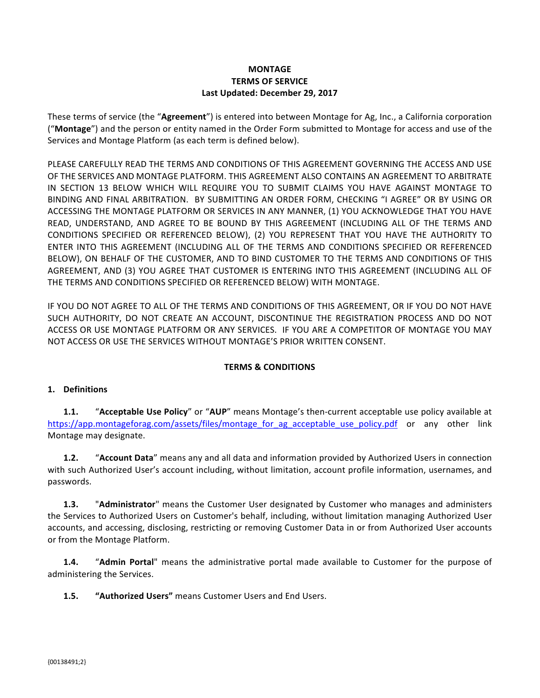## **MONTAGE TERMS OF SERVICE** Last Updated: December 29, 2017

These terms of service (the "Agreement") is entered into between Montage for Ag, Inc., a California corporation ("Montage") and the person or entity named in the Order Form submitted to Montage for access and use of the Services and Montage Platform (as each term is defined below).

PLEASE CAREFULLY READ THE TERMS AND CONDITIONS OF THIS AGREEMENT GOVERNING THE ACCESS AND USE OF THE SERVICES AND MONTAGE PLATFORM. THIS AGREEMENT ALSO CONTAINS AN AGREEMENT TO ARBITRATE IN SECTION 13 BELOW WHICH WILL REQUIRE YOU TO SUBMIT CLAIMS YOU HAVE AGAINST MONTAGE TO BINDING AND FINAL ARBITRATION. BY SUBMITTING AN ORDER FORM, CHECKING "I AGREE" OR BY USING OR ACCESSING THE MONTAGE PLATFORM OR SERVICES IN ANY MANNER, (1) YOU ACKNOWLEDGE THAT YOU HAVE READ, UNDERSTAND, AND AGREE TO BE BOUND BY THIS AGREEMENT (INCLUDING ALL OF THE TERMS AND CONDITIONS SPECIFIED OR REFERENCED BELOW), (2) YOU REPRESENT THAT YOU HAVE THE AUTHORITY TO ENTER INTO THIS AGREEMENT (INCLUDING ALL OF THE TERMS AND CONDITIONS SPECIFIED OR REFERENCED BELOW), ON BEHALF OF THE CUSTOMER, AND TO BIND CUSTOMER TO THE TERMS AND CONDITIONS OF THIS AGREEMENT, AND (3) YOU AGREE THAT CUSTOMER IS ENTERING INTO THIS AGREEMENT (INCLUDING ALL OF THE TERMS AND CONDITIONS SPECIFIED OR REFERENCED BELOW) WITH MONTAGE.

IF YOU DO NOT AGREE TO ALL OF THE TERMS AND CONDITIONS OF THIS AGREEMENT, OR IF YOU DO NOT HAVE SUCH AUTHORITY, DO NOT CREATE AN ACCOUNT, DISCONTINUE THE REGISTRATION PROCESS AND DO NOT ACCESS OR USE MONTAGE PLATFORM OR ANY SERVICES. IF YOU ARE A COMPETITOR OF MONTAGE YOU MAY NOT ACCESS OR USE THE SERVICES WITHOUT MONTAGE'S PRIOR WRITTEN CONSENT.

# **TERMS & CONDITIONS**

## **1. Definitions**

**1.1.** "Acceptable Use Policy" or "AUP" means Montage's then-current acceptable use policy available at https://app.montageforag.com/assets/files/montage\_for\_ag\_acceptable\_use\_policy.pdf or any other link Montage may designate.

**1.2.** "Account Data" means any and all data and information provided by Authorized Users in connection with such Authorized User's account including, without limitation, account profile information, usernames, and passwords. 

**1.3.** "Administrator" means the Customer User designated by Customer who manages and administers the Services to Authorized Users on Customer's behalf, including, without limitation managing Authorized User accounts, and accessing, disclosing, restricting or removing Customer Data in or from Authorized User accounts or from the Montage Platform.

**1.4.** "Admin Portal" means the administrative portal made available to Customer for the purpose of administering the Services.

**1.5. "Authorized Users"** means Customer Users and End Users.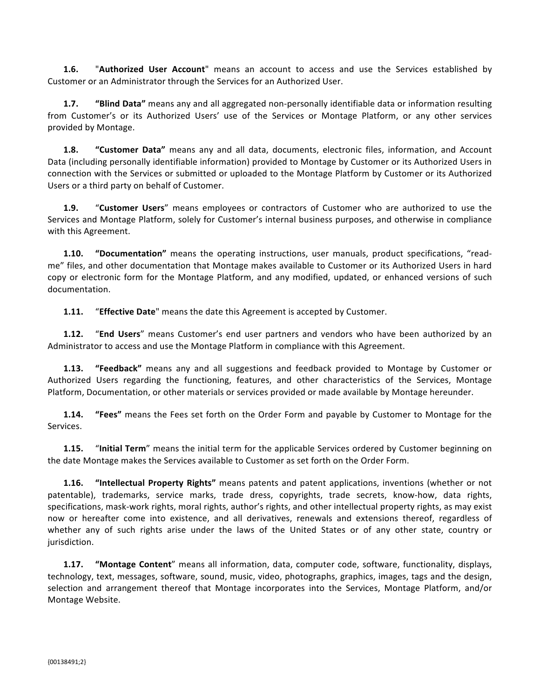**1.6.** "Authorized User Account" means an account to access and use the Services established by Customer or an Administrator through the Services for an Authorized User.

**1.7. "Blind Data"** means any and all aggregated non-personally identifiable data or information resulting from Customer's or its Authorized Users' use of the Services or Montage Platform, or any other services provided by Montage.

**1.8. "Customer Data"** means any and all data, documents, electronic files, information, and Account Data (including personally identifiable information) provided to Montage by Customer or its Authorized Users in connection with the Services or submitted or uploaded to the Montage Platform by Customer or its Authorized Users or a third party on behalf of Customer.

**1.9.** "Customer Users" means employees or contractors of Customer who are authorized to use the Services and Montage Platform, solely for Customer's internal business purposes, and otherwise in compliance with this Agreement.

**1.10. "Documentation"** means the operating instructions, user manuals, product specifications, "readme" files, and other documentation that Montage makes available to Customer or its Authorized Users in hard copy or electronic form for the Montage Platform, and any modified, updated, or enhanced versions of such documentation.

**1.11.** "**Effective Date**" means the date this Agreement is accepted by Customer.

**1.12.** "End Users" means Customer's end user partners and vendors who have been authorized by an Administrator to access and use the Montage Platform in compliance with this Agreement.

**1.13. "Feedback"** means any and all suggestions and feedback provided to Montage by Customer or Authorized Users regarding the functioning, features, and other characteristics of the Services, Montage Platform, Documentation, or other materials or services provided or made available by Montage hereunder.

**1.14. "Fees"** means the Fees set forth on the Order Form and payable by Customer to Montage for the Services.

**1.15.** "**Initial Term**" means the initial term for the applicable Services ordered by Customer beginning on the date Montage makes the Services available to Customer as set forth on the Order Form.

**1.16. "Intellectual Property Rights"** means patents and patent applications, inventions (whether or not patentable), trademarks, service marks, trade dress, copyrights, trade secrets, know-how, data rights, specifications, mask-work rights, moral rights, author's rights, and other intellectual property rights, as may exist now or hereafter come into existence, and all derivatives, renewals and extensions thereof, regardless of whether any of such rights arise under the laws of the United States or of any other state, country or jurisdiction. 

**1.17. "Montage Content**" means all information, data, computer code, software, functionality, displays, technology, text, messages, software, sound, music, video, photographs, graphics, images, tags and the design, selection and arrangement thereof that Montage incorporates into the Services, Montage Platform, and/or Montage Website.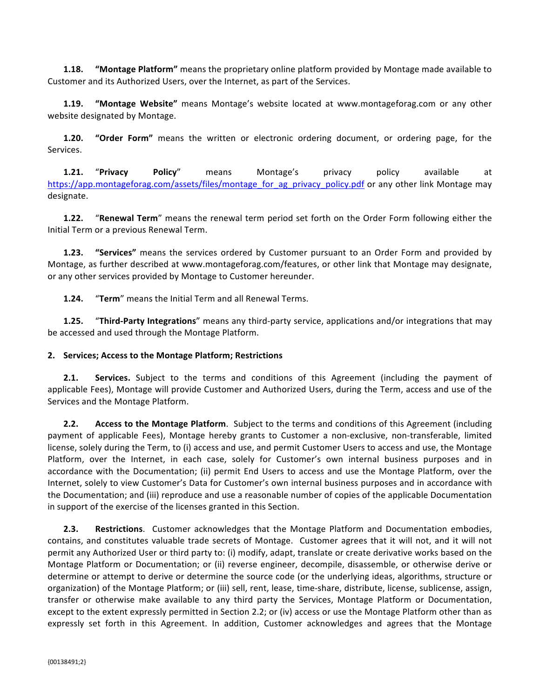**1.18. "Montage Platform"** means the proprietary online platform provided by Montage made available to Customer and its Authorized Users, over the Internet, as part of the Services.

**1.19. "Montage Website"** means Montage's website located at www.montageforag.com or any other website designated by Montage.

**1.20. "Order Form"** means the written or electronic ordering document, or ordering page, for the Services.

**1.21. "Privacy Policy"** means Montage's privacy policy available at https://app.montageforag.com/assets/files/montage\_for\_ag\_privacy\_policy.pdf or any other link Montage may designate.

**1.22.** "Renewal Term" means the renewal term period set forth on the Order Form following either the Initial Term or a previous Renewal Term. 

**1.23. "Services"** means the services ordered by Customer pursuant to an Order Form and provided by Montage, as further described at www.montageforag.com/features, or other link that Montage may designate, or any other services provided by Montage to Customer hereunder.

**1.24.** "**Term**" means the Initial Term and all Renewal Terms.

**1.25.** "Third-Party Integrations" means any third-party service, applications and/or integrations that may be accessed and used through the Montage Platform.

## **2. Services; Access to the Montage Platform; Restrictions**

**2.1. Services.** Subject to the terms and conditions of this Agreement (including the payment of applicable Fees), Montage will provide Customer and Authorized Users, during the Term, access and use of the Services and the Montage Platform.

**2.2. Access to the Montage Platform**. Subject to the terms and conditions of this Agreement (including payment of applicable Fees), Montage hereby grants to Customer a non-exclusive, non-transferable, limited license, solely during the Term, to (i) access and use, and permit Customer Users to access and use, the Montage Platform, over the Internet, in each case, solely for Customer's own internal business purposes and in accordance with the Documentation; (ii) permit End Users to access and use the Montage Platform, over the Internet, solely to view Customer's Data for Customer's own internal business purposes and in accordance with the Documentation; and (iii) reproduce and use a reasonable number of copies of the applicable Documentation in support of the exercise of the licenses granted in this Section.

**2.3. Restrictions**. Customer acknowledges that the Montage Platform and Documentation embodies, contains, and constitutes valuable trade secrets of Montage. Customer agrees that it will not, and it will not permit any Authorized User or third party to: (i) modify, adapt, translate or create derivative works based on the Montage Platform or Documentation; or (ii) reverse engineer, decompile, disassemble, or otherwise derive or determine or attempt to derive or determine the source code (or the underlying ideas, algorithms, structure or organization) of the Montage Platform; or (iii) sell, rent, lease, time-share, distribute, license, sublicense, assign, transfer or otherwise make available to any third party the Services, Montage Platform or Documentation, except to the extent expressly permitted in Section 2.2; or (iv) access or use the Montage Platform other than as expressly set forth in this Agreement. In addition, Customer acknowledges and agrees that the Montage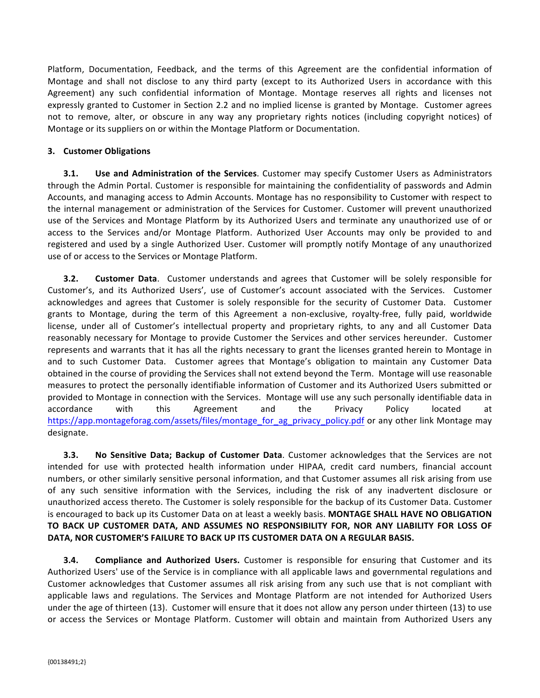Platform, Documentation, Feedback, and the terms of this Agreement are the confidential information of Montage and shall not disclose to any third party (except to its Authorized Users in accordance with this Agreement) any such confidential information of Montage. Montage reserves all rights and licenses not expressly granted to Customer in Section 2.2 and no implied license is granted by Montage. Customer agrees not to remove, alter, or obscure in any way any proprietary rights notices (including copyright notices) of Montage or its suppliers on or within the Montage Platform or Documentation.

## **3. Customer Obligations**

**3.1. Use and Administration of the Services**. Customer may specify Customer Users as Administrators through the Admin Portal. Customer is responsible for maintaining the confidentiality of passwords and Admin Accounts, and managing access to Admin Accounts. Montage has no responsibility to Customer with respect to the internal management or administration of the Services for Customer. Customer will prevent unauthorized use of the Services and Montage Platform by its Authorized Users and terminate any unauthorized use of or access to the Services and/or Montage Platform. Authorized User Accounts may only be provided to and registered and used by a single Authorized User. Customer will promptly notify Montage of any unauthorized use of or access to the Services or Montage Platform.

**3.2. Customer Data**. Customer understands and agrees that Customer will be solely responsible for Customer's, and its Authorized Users', use of Customer's account associated with the Services. Customer acknowledges and agrees that Customer is solely responsible for the security of Customer Data. Customer grants to Montage, during the term of this Agreement a non-exclusive, royalty-free, fully paid, worldwide license, under all of Customer's intellectual property and proprietary rights, to any and all Customer Data reasonably necessary for Montage to provide Customer the Services and other services hereunder. Customer represents and warrants that it has all the rights necessary to grant the licenses granted herein to Montage in and to such Customer Data. Customer agrees that Montage's obligation to maintain any Customer Data obtained in the course of providing the Services shall not extend beyond the Term. Montage will use reasonable measures to protect the personally identifiable information of Customer and its Authorized Users submitted or provided to Montage in connection with the Services. Montage will use any such personally identifiable data in accordance with this Agreement and the Privacy Policy located at https://app.montageforag.com/assets/files/montage\_for\_ag\_privacy\_policy.pdf or any other link Montage may designate.

**3.3. No Sensitive Data; Backup of Customer Data**. Customer acknowledges that the Services are not intended for use with protected health information under HIPAA, credit card numbers, financial account numbers, or other similarly sensitive personal information, and that Customer assumes all risk arising from use of any such sensitive information with the Services, including the risk of any inadvertent disclosure or unauthorized access thereto. The Customer is solely responsible for the backup of its Customer Data. Customer is encouraged to back up its Customer Data on at least a weekly basis. MONTAGE SHALL HAVE NO OBLIGATION TO BACK UP CUSTOMER DATA, AND ASSUMES NO RESPONSIBILITY FOR, NOR ANY LIABILITY FOR LOSS OF **DATA, NOR CUSTOMER'S FAILURE TO BACK UP ITS CUSTOMER DATA ON A REGULAR BASIS.** 

**3.4. Compliance and Authorized Users.** Customer is responsible for ensuring that Customer and its Authorized Users' use of the Service is in compliance with all applicable laws and governmental regulations and Customer acknowledges that Customer assumes all risk arising from any such use that is not compliant with applicable laws and regulations. The Services and Montage Platform are not intended for Authorized Users under the age of thirteen (13). Customer will ensure that it does not allow any person under thirteen (13) to use or access the Services or Montage Platform. Customer will obtain and maintain from Authorized Users any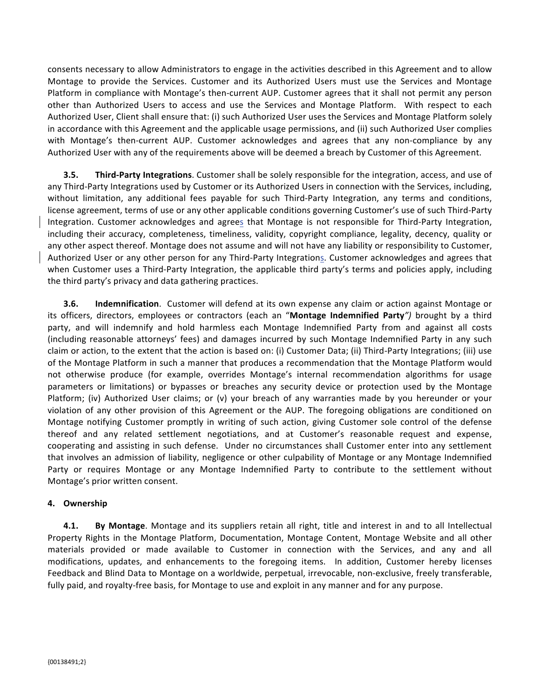consents necessary to allow Administrators to engage in the activities described in this Agreement and to allow Montage to provide the Services. Customer and its Authorized Users must use the Services and Montage Platform in compliance with Montage's then-current AUP. Customer agrees that it shall not permit any person other than Authorized Users to access and use the Services and Montage Platform. With respect to each Authorized User, Client shall ensure that: (i) such Authorized User uses the Services and Montage Platform solely in accordance with this Agreement and the applicable usage permissions, and (ii) such Authorized User complies with Montage's then-current AUP. Customer acknowledges and agrees that any non-compliance by any Authorized User with any of the requirements above will be deemed a breach by Customer of this Agreement.

**3.5. Third-Party Integrations**. Customer shall be solely responsible for the integration, access, and use of any Third-Party Integrations used by Customer or its Authorized Users in connection with the Services, including, without limitation, any additional fees payable for such Third-Party Integration, any terms and conditions, license agreement, terms of use or any other applicable conditions governing Customer's use of such Third-Party Integration. Customer acknowledges and agrees that Montage is not responsible for Third-Party Integration, including their accuracy, completeness, timeliness, validity, copyright compliance, legality, decency, quality or any other aspect thereof. Montage does not assume and will not have any liability or responsibility to Customer, Authorized User or any other person for any Third-Party Integrations. Customer acknowledges and agrees that when Customer uses a Third-Party Integration, the applicable third party's terms and policies apply, including the third party's privacy and data gathering practices.

**3.6. Indemnification**. Customer will defend at its own expense any claim or action against Montage or its officers, directors, employees or contractors (each an "Montage Indemnified Party") brought by a third party, and will indemnify and hold harmless each Montage Indemnified Party from and against all costs (including reasonable attorneys' fees) and damages incurred by such Montage Indemnified Party in any such claim or action, to the extent that the action is based on: (i) Customer Data; (ii) Third-Party Integrations; (iii) use of the Montage Platform in such a manner that produces a recommendation that the Montage Platform would not otherwise produce (for example, overrides Montage's internal recommendation algorithms for usage parameters or limitations) or bypasses or breaches any security device or protection used by the Montage Platform; (iv) Authorized User claims; or (v) your breach of any warranties made by you hereunder or your violation of any other provision of this Agreement or the AUP. The foregoing obligations are conditioned on Montage notifying Customer promptly in writing of such action, giving Customer sole control of the defense thereof and any related settlement negotiations, and at Customer's reasonable request and expense, cooperating and assisting in such defense. Under no circumstances shall Customer enter into any settlement that involves an admission of liability, negligence or other culpability of Montage or any Montage Indemnified Party or requires Montage or any Montage Indemnified Party to contribute to the settlement without Montage's prior written consent.

#### **4. Ownership**

**4.1. By Montage**. Montage and its suppliers retain all right, title and interest in and to all Intellectual Property Rights in the Montage Platform, Documentation, Montage Content, Montage Website and all other materials provided or made available to Customer in connection with the Services, and any and all modifications, updates, and enhancements to the foregoing items. In addition, Customer hereby licenses Feedback and Blind Data to Montage on a worldwide, perpetual, irrevocable, non-exclusive, freely transferable, fully paid, and royalty-free basis, for Montage to use and exploit in any manner and for any purpose.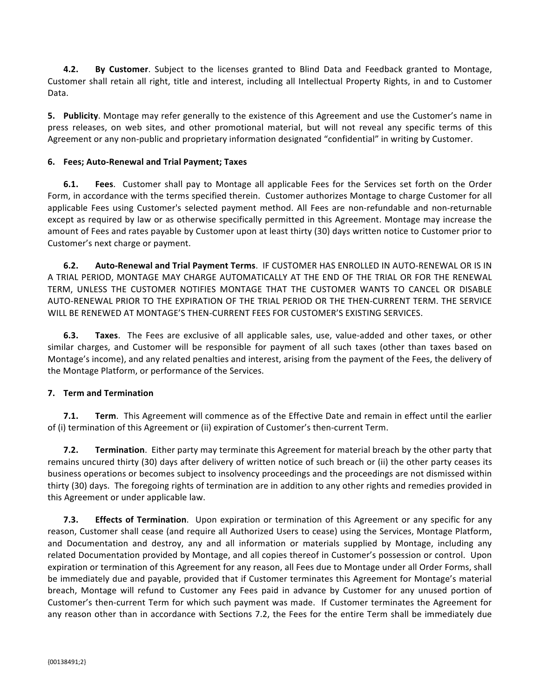**4.2. By Customer**. Subject to the licenses granted to Blind Data and Feedback granted to Montage, Customer shall retain all right, title and interest, including all Intellectual Property Rights, in and to Customer Data. 

**5.** Publicity. Montage may refer generally to the existence of this Agreement and use the Customer's name in press releases, on web sites, and other promotional material, but will not reveal any specific terms of this Agreement or any non-public and proprietary information designated "confidential" in writing by Customer.

## **6. Fees; Auto-Renewal and Trial Payment; Taxes**

**6.1.** Fees. Customer shall pay to Montage all applicable Fees for the Services set forth on the Order Form, in accordance with the terms specified therein. Customer authorizes Montage to charge Customer for all applicable Fees using Customer's selected payment method. All Fees are non-refundable and non-returnable except as required by law or as otherwise specifically permitted in this Agreement. Montage may increase the amount of Fees and rates payable by Customer upon at least thirty (30) days written notice to Customer prior to Customer's next charge or payment.

**6.2. Auto-Renewal and Trial Payment Terms**. IF CUSTOMER HAS ENROLLED IN AUTO-RENEWAL OR IS IN A TRIAL PERIOD, MONTAGE MAY CHARGE AUTOMATICALLY AT THE END OF THE TRIAL OR FOR THE RENEWAL TERM, UNLESS THE CUSTOMER NOTIFIES MONTAGE THAT THE CUSTOMER WANTS TO CANCEL OR DISABLE AUTO-RENEWAL PRIOR TO THE EXPIRATION OF THE TRIAL PERIOD OR THE THEN-CURRENT TERM. THE SERVICE WILL BE RENEWED AT MONTAGE'S THEN-CURRENT FEES FOR CUSTOMER'S EXISTING SERVICES.

**6.3. Taxes**. The Fees are exclusive of all applicable sales, use, value-added and other taxes, or other similar charges, and Customer will be responsible for payment of all such taxes (other than taxes based on Montage's income), and any related penalties and interest, arising from the payment of the Fees, the delivery of the Montage Platform, or performance of the Services.

## **7. Term and Termination**

**7.1. Term**. This Agreement will commence as of the Effective Date and remain in effect until the earlier of (i) termination of this Agreement or (ii) expiration of Customer's then-current Term.

**7.2. Termination**. Either party may terminate this Agreement for material breach by the other party that remains uncured thirty (30) days after delivery of written notice of such breach or (ii) the other party ceases its business operations or becomes subject to insolvency proceedings and the proceedings are not dismissed within thirty (30) days. The foregoing rights of termination are in addition to any other rights and remedies provided in this Agreement or under applicable law.

**7.3. Effects of Termination**. Upon expiration or termination of this Agreement or any specific for any reason, Customer shall cease (and require all Authorized Users to cease) using the Services, Montage Platform, and Documentation and destroy, any and all information or materials supplied by Montage, including any related Documentation provided by Montage, and all copies thereof in Customer's possession or control. Upon expiration or termination of this Agreement for any reason, all Fees due to Montage under all Order Forms, shall be immediately due and payable, provided that if Customer terminates this Agreement for Montage's material breach, Montage will refund to Customer any Fees paid in advance by Customer for any unused portion of Customer's then-current Term for which such payment was made. If Customer terminates the Agreement for any reason other than in accordance with Sections 7.2, the Fees for the entire Term shall be immediately due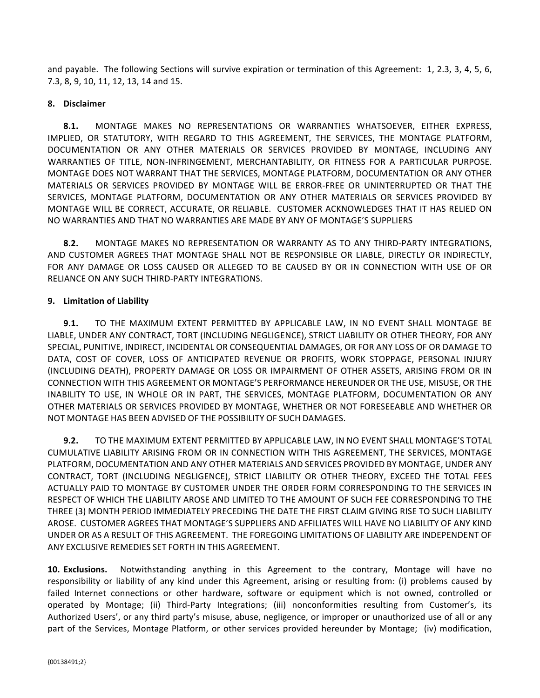and payable. The following Sections will survive expiration or termination of this Agreement: 1, 2.3, 3, 4, 5, 6, 7.3, 8, 9, 10, 11, 12, 13, 14 and 15.

#### **8. Disclaimer**

**8.1.** MONTAGE MAKES NO REPRESENTATIONS OR WARRANTIES WHATSOEVER, EITHER EXPRESS, IMPLIED, OR STATUTORY, WITH REGARD TO THIS AGREEMENT, THE SERVICES, THE MONTAGE PLATFORM, DOCUMENTATION OR ANY OTHER MATERIALS OR SERVICES PROVIDED BY MONTAGE, INCLUDING ANY WARRANTIES OF TITLE, NON-INFRINGEMENT, MERCHANTABILITY, OR FITNESS FOR A PARTICULAR PURPOSE. MONTAGE DOES NOT WARRANT THAT THE SERVICES, MONTAGE PLATFORM, DOCUMENTATION OR ANY OTHER MATERIALS OR SERVICES PROVIDED BY MONTAGE WILL BE ERROR-FREE OR UNINTERRUPTED OR THAT THE SERVICES, MONTAGE PLATFORM, DOCUMENTATION OR ANY OTHER MATERIALS OR SERVICES PROVIDED BY MONTAGE WILL BE CORRECT, ACCURATE, OR RELIABLE. CUSTOMER ACKNOWLEDGES THAT IT HAS RELIED ON NO WARRANTIES AND THAT NO WARRANTIES ARE MADE BY ANY OF MONTAGE'S SUPPLIERS

8.2. MONTAGE MAKES NO REPRESENTATION OR WARRANTY AS TO ANY THIRD-PARTY INTEGRATIONS, AND CUSTOMER AGREES THAT MONTAGE SHALL NOT BE RESPONSIBLE OR LIABLE, DIRECTLY OR INDIRECTLY, FOR ANY DAMAGE OR LOSS CAUSED OR ALLEGED TO BE CAUSED BY OR IN CONNECTION WITH USE OF OR RELIANCE ON ANY SUCH THIRD-PARTY INTEGRATIONS.

## **9. Limitation of Liability**

**9.1.** TO THE MAXIMUM EXTENT PERMITTED BY APPLICABLE LAW, IN NO EVENT SHALL MONTAGE BE LIABLE, UNDER ANY CONTRACT, TORT (INCLUDING NEGLIGENCE), STRICT LIABILITY OR OTHER THEORY, FOR ANY SPECIAL, PUNITIVE, INDIRECT, INCIDENTAL OR CONSEQUENTIAL DAMAGES, OR FOR ANY LOSS OF OR DAMAGE TO DATA, COST OF COVER, LOSS OF ANTICIPATED REVENUE OR PROFITS, WORK STOPPAGE, PERSONAL INJURY (INCLUDING DEATH), PROPERTY DAMAGE OR LOSS OR IMPAIRMENT OF OTHER ASSETS, ARISING FROM OR IN CONNECTION WITH THIS AGREEMENT OR MONTAGE'S PERFORMANCE HEREUNDER OR THE USE, MISUSE, OR THE INABILITY TO USE, IN WHOLE OR IN PART, THE SERVICES, MONTAGE PLATFORM, DOCUMENTATION OR ANY OTHER MATERIALS OR SERVICES PROVIDED BY MONTAGE, WHETHER OR NOT FORESEEABLE AND WHETHER OR NOT MONTAGE HAS BEEN ADVISED OF THE POSSIBILITY OF SUCH DAMAGES. 

**9.2.** TO THE MAXIMUM EXTENT PERMITTED BY APPLICABLE LAW, IN NO EVENT SHALL MONTAGE'S TOTAL CUMULATIVE LIABILITY ARISING FROM OR IN CONNECTION WITH THIS AGREEMENT, THE SERVICES, MONTAGE PLATFORM, DOCUMENTATION AND ANY OTHER MATERIALS AND SERVICES PROVIDED BY MONTAGE, UNDER ANY CONTRACT, TORT (INCLUDING NEGLIGENCE), STRICT LIABILITY OR OTHER THEORY, EXCEED THE TOTAL FEES ACTUALLY PAID TO MONTAGE BY CUSTOMER UNDER THE ORDER FORM CORRESPONDING TO THE SERVICES IN RESPECT OF WHICH THE LIABILITY AROSE AND LIMITED TO THE AMOUNT OF SUCH FEE CORRESPONDING TO THE THREE (3) MONTH PERIOD IMMEDIATELY PRECEDING THE DATE THE FIRST CLAIM GIVING RISE TO SUCH LIABILITY AROSE. CUSTOMER AGREES THAT MONTAGE'S SUPPLIERS AND AFFILIATES WILL HAVE NO LIABILITY OF ANY KIND UNDER OR AS A RESULT OF THIS AGREEMENT. THE FOREGOING LIMITATIONS OF LIABILITY ARE INDEPENDENT OF ANY EXCLUSIVE REMEDIES SET FORTH IN THIS AGREEMENT.

**10. Exclusions.** Notwithstanding anything in this Agreement to the contrary, Montage will have no responsibility or liability of any kind under this Agreement, arising or resulting from: (i) problems caused by failed Internet connections or other hardware, software or equipment which is not owned, controlled or operated by Montage; (ii) Third-Party Integrations; (iii) nonconformities resulting from Customer's, its Authorized Users', or any third party's misuse, abuse, negligence, or improper or unauthorized use of all or any part of the Services, Montage Platform, or other services provided hereunder by Montage; (iv) modification,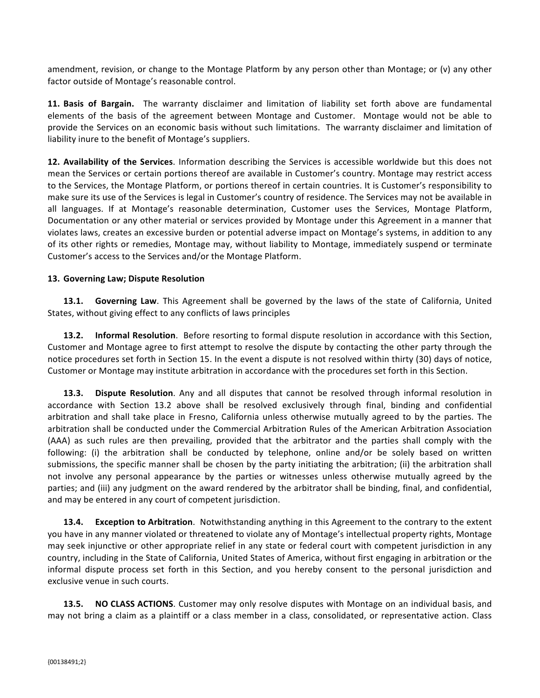amendment, revision, or change to the Montage Platform by any person other than Montage; or (v) any other factor outside of Montage's reasonable control.

**11. Basis of Bargain.** The warranty disclaimer and limitation of liability set forth above are fundamental elements of the basis of the agreement between Montage and Customer. Montage would not be able to provide the Services on an economic basis without such limitations. The warranty disclaimer and limitation of liability inure to the benefit of Montage's suppliers.

**12. Availability of the Services**. Information describing the Services is accessible worldwide but this does not mean the Services or certain portions thereof are available in Customer's country. Montage may restrict access to the Services, the Montage Platform, or portions thereof in certain countries. It is Customer's responsibility to make sure its use of the Services is legal in Customer's country of residence. The Services may not be available in all languages. If at Montage's reasonable determination, Customer uses the Services, Montage Platform, Documentation or any other material or services provided by Montage under this Agreement in a manner that violates laws, creates an excessive burden or potential adverse impact on Montage's systems, in addition to any of its other rights or remedies, Montage may, without liability to Montage, immediately suspend or terminate Customer's access to the Services and/or the Montage Platform.

#### 13. Governing Law; Dispute Resolution

**13.1.** Governing Law. This Agreement shall be governed by the laws of the state of California, United States, without giving effect to any conflicts of laws principles

**13.2. Informal Resolution**. Before resorting to formal dispute resolution in accordance with this Section, Customer and Montage agree to first attempt to resolve the dispute by contacting the other party through the notice procedures set forth in Section 15. In the event a dispute is not resolved within thirty (30) days of notice, Customer or Montage may institute arbitration in accordance with the procedures set forth in this Section.

**13.3. Dispute Resolution**. Any and all disputes that cannot be resolved through informal resolution in accordance with Section 13.2 above shall be resolved exclusively through final, binding and confidential arbitration and shall take place in Fresno, California unless otherwise mutually agreed to by the parties. The arbitration shall be conducted under the Commercial Arbitration Rules of the American Arbitration Association (AAA) as such rules are then prevailing, provided that the arbitrator and the parties shall comply with the following: (i) the arbitration shall be conducted by telephone, online and/or be solely based on written submissions, the specific manner shall be chosen by the party initiating the arbitration; (ii) the arbitration shall not involve any personal appearance by the parties or witnesses unless otherwise mutually agreed by the parties; and (iii) any judgment on the award rendered by the arbitrator shall be binding, final, and confidential, and may be entered in any court of competent jurisdiction.

**13.4. Exception to Arbitration**. Notwithstanding anything in this Agreement to the contrary to the extent you have in any manner violated or threatened to violate any of Montage's intellectual property rights, Montage may seek injunctive or other appropriate relief in any state or federal court with competent jurisdiction in any country, including in the State of California, United States of America, without first engaging in arbitration or the informal dispute process set forth in this Section, and you hereby consent to the personal jurisdiction and exclusive venue in such courts.

**13.5. NO CLASS ACTIONS**. Customer may only resolve disputes with Montage on an individual basis, and may not bring a claim as a plaintiff or a class member in a class, consolidated, or representative action. Class